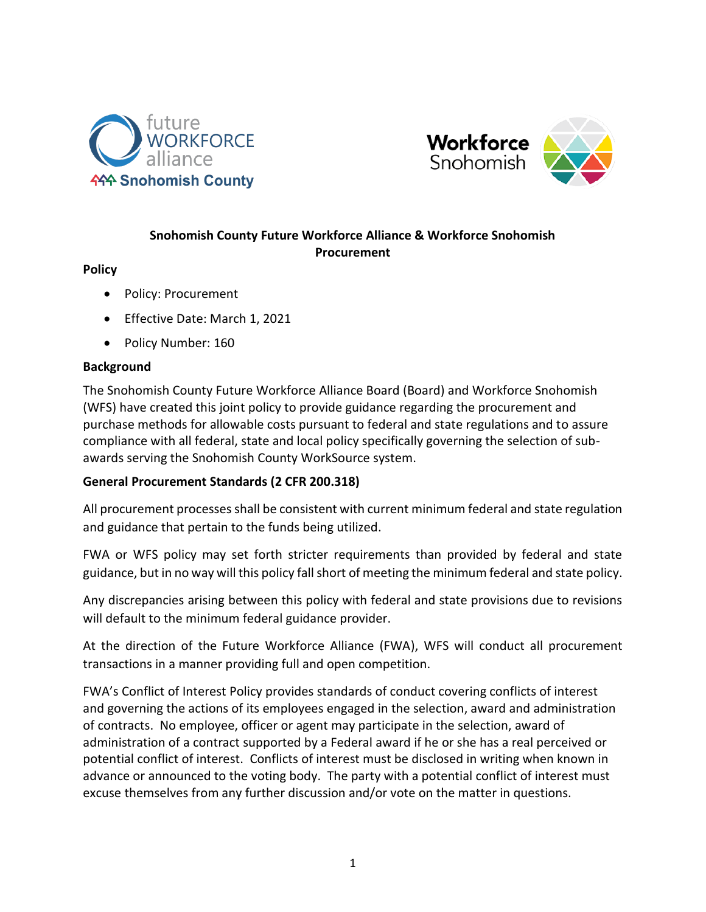



### **Snohomish County Future Workforce Alliance & Workforce Snohomish Procurement**

#### **Policy**

- Policy: Procurement
- Effective Date: March 1, 2021
- Policy Number: 160

#### **Background**

The Snohomish County Future Workforce Alliance Board (Board) and Workforce Snohomish (WFS) have created this joint policy to provide guidance regarding the procurement and purchase methods for allowable costs pursuant to federal and state regulations and to assure compliance with all federal, state and local policy specifically governing the selection of subawards serving the Snohomish County WorkSource system.

#### **General Procurement Standards (2 CFR 200.318)**

All procurement processes shall be consistent with current minimum federal and state regulation and guidance that pertain to the funds being utilized.

FWA or WFS policy may set forth stricter requirements than provided by federal and state guidance, but in no way will this policy fall short of meeting the minimum federal and state policy.

Any discrepancies arising between this policy with federal and state provisions due to revisions will default to the minimum federal guidance provider.

At the direction of the Future Workforce Alliance (FWA), WFS will conduct all procurement transactions in a manner providing full and open competition.

FWA's Conflict of Interest Policy provides standards of conduct covering conflicts of interest and governing the actions of its employees engaged in the selection, award and administration of contracts. No employee, officer or agent may participate in the selection, award of administration of a contract supported by a Federal award if he or she has a real perceived or potential conflict of interest. Conflicts of interest must be disclosed in writing when known in advance or announced to the voting body. The party with a potential conflict of interest must excuse themselves from any further discussion and/or vote on the matter in questions.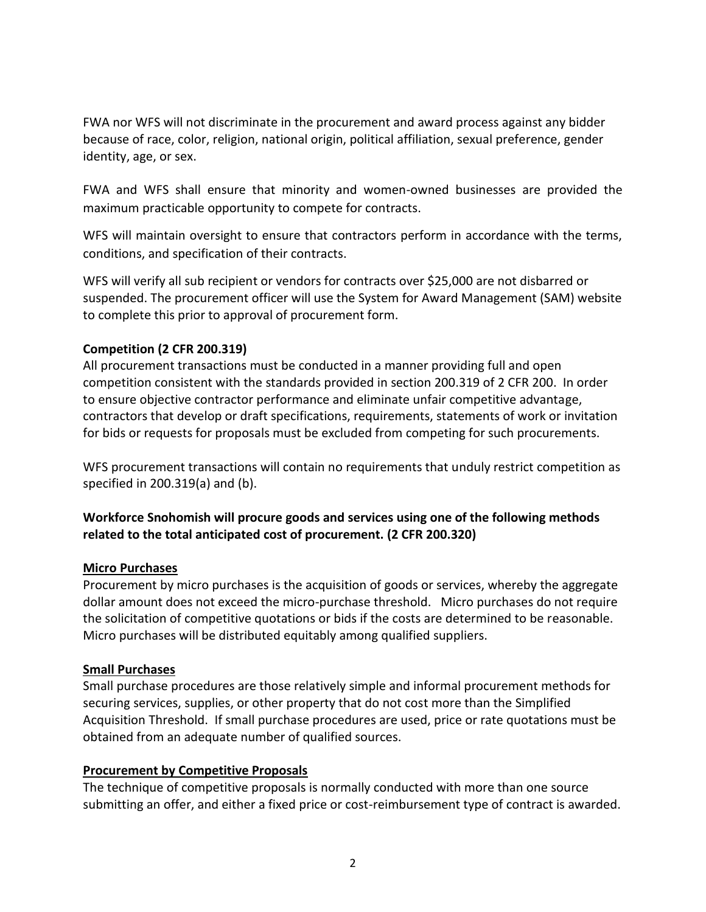FWA nor WFS will not discriminate in the procurement and award process against any bidder because of race, color, religion, national origin, political affiliation, sexual preference, gender identity, age, or sex.

FWA and WFS shall ensure that minority and women-owned businesses are provided the maximum practicable opportunity to compete for contracts.

WFS will maintain oversight to ensure that contractors perform in accordance with the terms, conditions, and specification of their contracts.

WFS will verify all sub recipient or vendors for contracts over \$25,000 are not disbarred or suspended. The procurement officer will use the System for Award Management (SAM) website to complete this prior to approval of procurement form.

## **Competition (2 CFR 200.319)**

All procurement transactions must be conducted in a manner providing full and open competition consistent with the standards provided in section 200.319 of 2 CFR 200. In order to ensure objective contractor performance and eliminate unfair competitive advantage, contractors that develop or draft specifications, requirements, statements of work or invitation for bids or requests for proposals must be excluded from competing for such procurements.

WFS procurement transactions will contain no requirements that unduly restrict competition as specified in 200.319(a) and (b).

# **Workforce Snohomish will procure goods and services using one of the following methods related to the total anticipated cost of procurement. (2 CFR 200.320)**

### **Micro Purchases**

Procurement by micro purchases is the acquisition of goods or services, whereby the aggregate dollar amount does not exceed the micro-purchase threshold. Micro purchases do not require the solicitation of competitive quotations or bids if the costs are determined to be reasonable. Micro purchases will be distributed equitably among qualified suppliers.

### **Small Purchases**

Small purchase procedures are those relatively simple and informal procurement methods for securing services, supplies, or other property that do not cost more than the Simplified Acquisition Threshold. If small purchase procedures are used, price or rate quotations must be obtained from an adequate number of qualified sources.

### **Procurement by Competitive Proposals**

The technique of competitive proposals is normally conducted with more than one source submitting an offer, and either a fixed price or cost-reimbursement type of contract is awarded.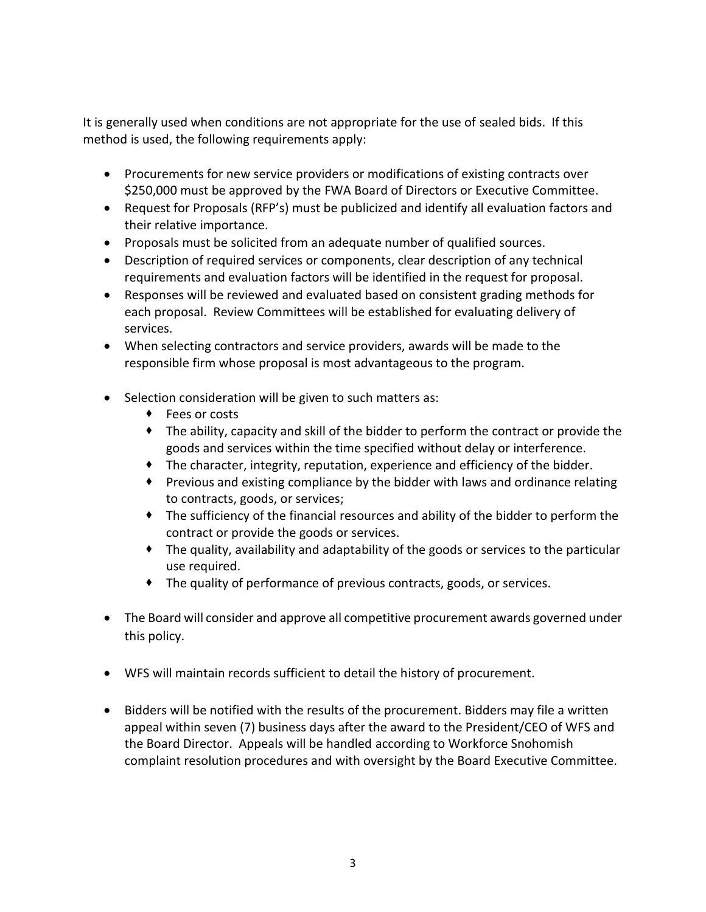It is generally used when conditions are not appropriate for the use of sealed bids. If this method is used, the following requirements apply:

- Procurements for new service providers or modifications of existing contracts over \$250,000 must be approved by the FWA Board of Directors or Executive Committee.
- Request for Proposals (RFP's) must be publicized and identify all evaluation factors and their relative importance.
- Proposals must be solicited from an adequate number of qualified sources.
- Description of required services or components, clear description of any technical requirements and evaluation factors will be identified in the request for proposal.
- Responses will be reviewed and evaluated based on consistent grading methods for each proposal. Review Committees will be established for evaluating delivery of services.
- When selecting contractors and service providers, awards will be made to the responsible firm whose proposal is most advantageous to the program.
- Selection consideration will be given to such matters as:
	- ◆ Fees or costs
	- The ability, capacity and skill of the bidder to perform the contract or provide the goods and services within the time specified without delay or interference.
	- The character, integrity, reputation, experience and efficiency of the bidder.
	- Previous and existing compliance by the bidder with laws and ordinance relating to contracts, goods, or services;
	- The sufficiency of the financial resources and ability of the bidder to perform the contract or provide the goods or services.
	- The quality, availability and adaptability of the goods or services to the particular use required.
	- The quality of performance of previous contracts, goods, or services.
- The Board will consider and approve all competitive procurement awards governed under this policy.
- WFS will maintain records sufficient to detail the history of procurement.
- Bidders will be notified with the results of the procurement. Bidders may file a written appeal within seven (7) business days after the award to the President/CEO of WFS and the Board Director. Appeals will be handled according to Workforce Snohomish complaint resolution procedures and with oversight by the Board Executive Committee.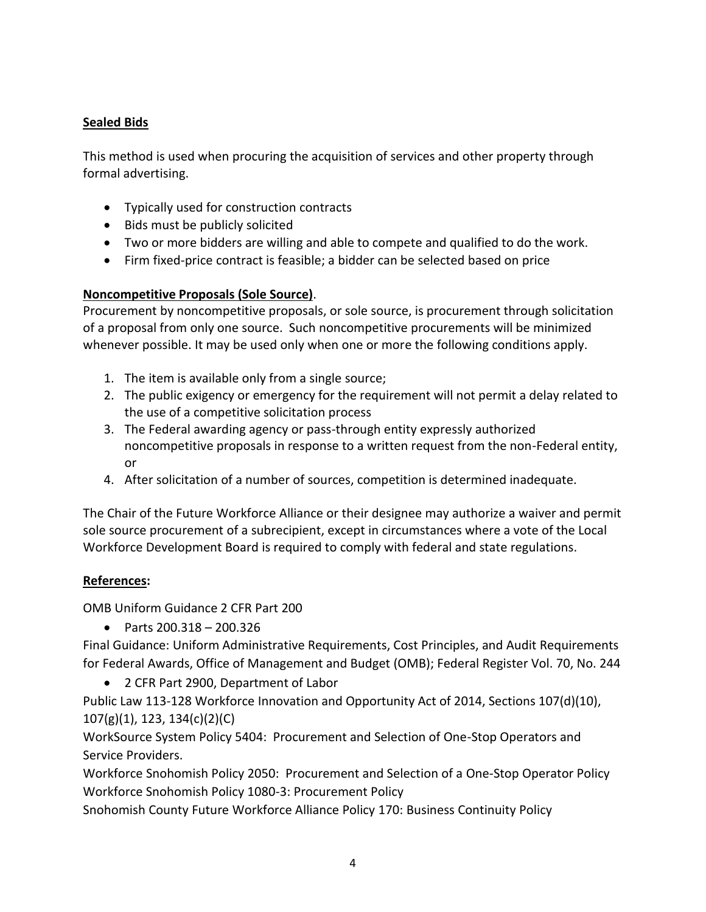# **Sealed Bids**

This method is used when procuring the acquisition of services and other property through formal advertising.

- Typically used for construction contracts
- Bids must be publicly solicited
- Two or more bidders are willing and able to compete and qualified to do the work.
- Firm fixed-price contract is feasible; a bidder can be selected based on price

### **Noncompetitive Proposals (Sole Source)**.

Procurement by noncompetitive proposals, or sole source, is procurement through solicitation of a proposal from only one source. Such noncompetitive procurements will be minimized whenever possible. It may be used only when one or more the following conditions apply.

- 1. The item is available only from a single source;
- 2. The public exigency or emergency for the requirement will not permit a delay related to the use of a competitive solicitation process
- 3. The Federal awarding agency or pass-through entity expressly authorized noncompetitive proposals in response to a written request from the non-Federal entity, or
- 4. After solicitation of a number of sources, competition is determined inadequate.

The Chair of the Future Workforce Alliance or their designee may authorize a waiver and permit sole source procurement of a subrecipient, except in circumstances where a vote of the Local Workforce Development Board is required to comply with federal and state regulations.

### **References:**

OMB Uniform Guidance 2 CFR Part 200

• Parts 200.318 – 200.326

Final Guidance: Uniform Administrative Requirements, Cost Principles, and Audit Requirements for Federal Awards, Office of Management and Budget (OMB); Federal Register Vol. 70, No. 244

• 2 CFR Part 2900, Department of Labor

Public Law 113-128 Workforce Innovation and Opportunity Act of 2014, Sections 107(d)(10), 107(g)(1), 123, 134(c)(2)(C)

WorkSource System Policy 5404: Procurement and Selection of One-Stop Operators and Service Providers.

Workforce Snohomish Policy 2050: Procurement and Selection of a One-Stop Operator Policy Workforce Snohomish Policy 1080-3: Procurement Policy

Snohomish County Future Workforce Alliance Policy 170: Business Continuity Policy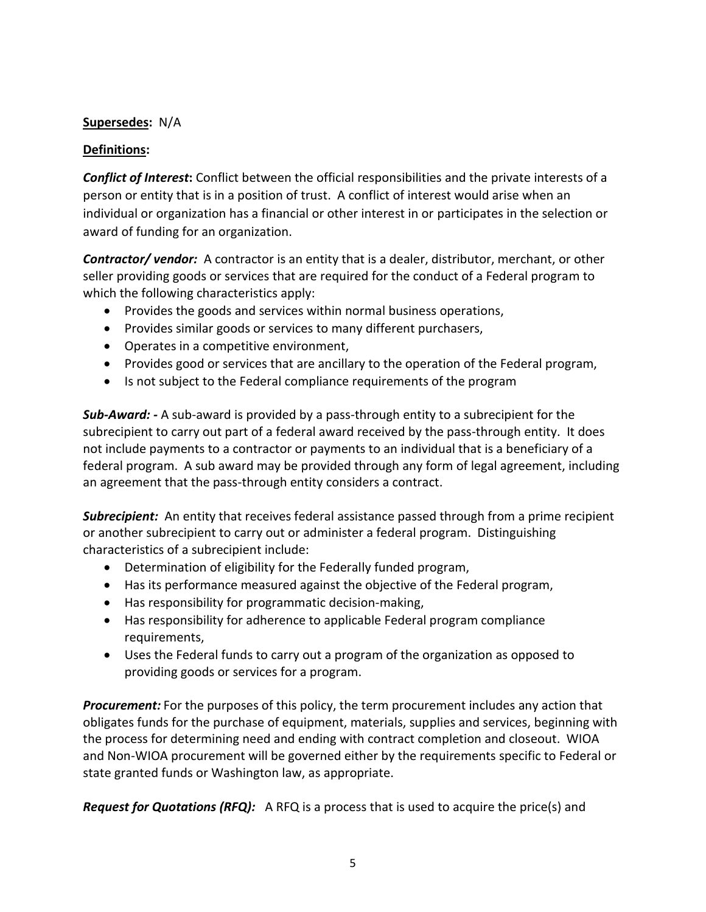## **Supersedes:** N/A

### **Definitions:**

*Conflict of Interest***:** Conflict between the official responsibilities and the private interests of a person or entity that is in a position of trust. A conflict of interest would arise when an individual or organization has a financial or other interest in or participates in the selection or award of funding for an organization.

*Contractor/ vendor:* A contractor is an entity that is a dealer, distributor, merchant, or other seller providing goods or services that are required for the conduct of a Federal program to which the following characteristics apply:

- Provides the goods and services within normal business operations,
- Provides similar goods or services to many different purchasers,
- Operates in a competitive environment,
- Provides good or services that are ancillary to the operation of the Federal program,
- Is not subject to the Federal compliance requirements of the program

*Sub-Award: -* A sub-award is provided by a pass-through entity to a subrecipient for the subrecipient to carry out part of a federal award received by the pass-through entity. It does not include payments to a contractor or payments to an individual that is a beneficiary of a federal program. A sub award may be provided through any form of legal agreement, including an agreement that the pass-through entity considers a contract.

*Subrecipient:* An entity that receives federal assistance passed through from a prime recipient or another subrecipient to carry out or administer a federal program. Distinguishing characteristics of a subrecipient include:

- Determination of eligibility for the Federally funded program,
- Has its performance measured against the objective of the Federal program,
- Has responsibility for programmatic decision-making,
- Has responsibility for adherence to applicable Federal program compliance requirements,
- Uses the Federal funds to carry out a program of the organization as opposed to providing goods or services for a program.

*Procurement:* For the purposes of this policy, the term procurement includes any action that obligates funds for the purchase of equipment, materials, supplies and services, beginning with the process for determining need and ending with contract completion and closeout. WIOA and Non-WIOA procurement will be governed either by the requirements specific to Federal or state granted funds or Washington law, as appropriate.

*Request for Quotations (RFQ):* A RFQ is a process that is used to acquire the price(s) and